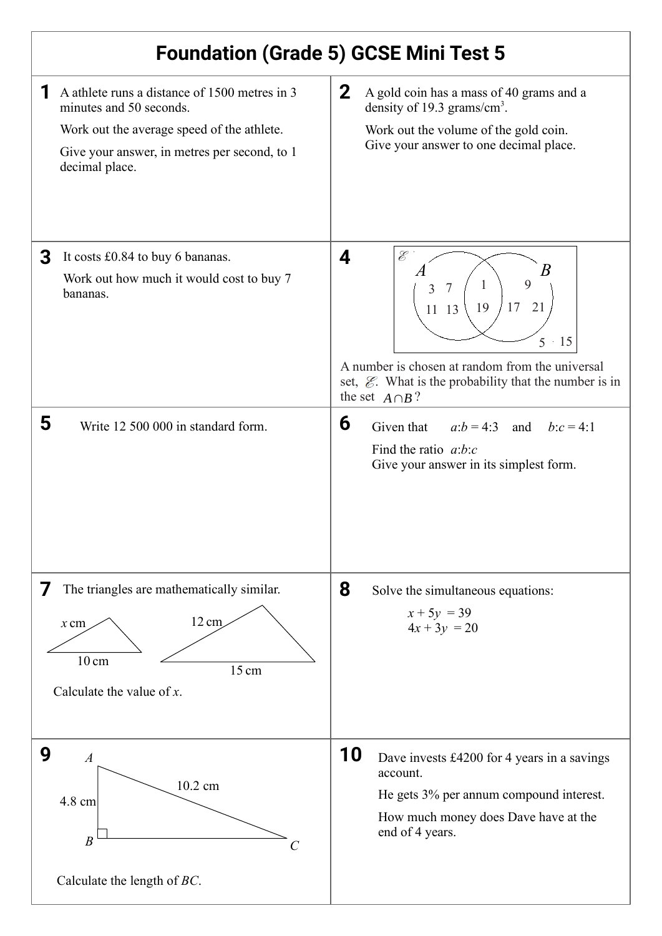| <b>Foundation (Grade 5) GCSE Mini Test 5</b>                                                                                                                                             |                                                                                                                                                                                                                                                    |
|------------------------------------------------------------------------------------------------------------------------------------------------------------------------------------------|----------------------------------------------------------------------------------------------------------------------------------------------------------------------------------------------------------------------------------------------------|
| A athlete runs a distance of 1500 metres in 3<br>minutes and 50 seconds.<br>Work out the average speed of the athlete.<br>Give your answer, in metres per second, to 1<br>decimal place. | $\mathbf{2}$<br>A gold coin has a mass of 40 grams and a<br>density of 19.3 grams/cm <sup>3</sup> .<br>Work out the volume of the gold coin.<br>Give your answer to one decimal place.                                                             |
| It costs £0.84 to buy 6 bananas.<br>3<br>Work out how much it would cost to buy 7<br>bananas.                                                                                            | $\mathscr{E}$<br>4<br>B<br>9<br>1<br>$\overline{7}$<br>3<br>17<br>21<br>19<br>13<br>11<br>15<br>5<br>A number is chosen at random from the universal<br>set, $\mathcal{E}$ . What is the probability that the number is in<br>the set $A \cap B$ ? |
| 5<br>Write 12 500 000 in standard form.                                                                                                                                                  | 6<br>Given that<br>$a:b=4:3$ and<br>$b:c = 4:1$<br>Find the ratio $a:b:c$<br>Give your answer in its simplest form.                                                                                                                                |
| The triangles are mathematically similar.<br>$\prime$<br>12 cm<br>$x$ cm<br>$10 \text{ cm}$<br>15 cm<br>Calculate the value of $x$ .                                                     | 8<br>Solve the simultaneous equations:<br>$x + 5y = 39$<br>$4x + 3y = 20$                                                                                                                                                                          |
| 9<br>$\boldsymbol{A}$<br>10.2 cm<br>4.8 cm<br>$\overline{B}$<br>Calculate the length of $BC$ .                                                                                           | <b>10</b><br>Dave invests £4200 for 4 years in a savings<br>account.<br>He gets 3% per annum compound interest.<br>How much money does Dave have at the<br>end of 4 years.                                                                         |